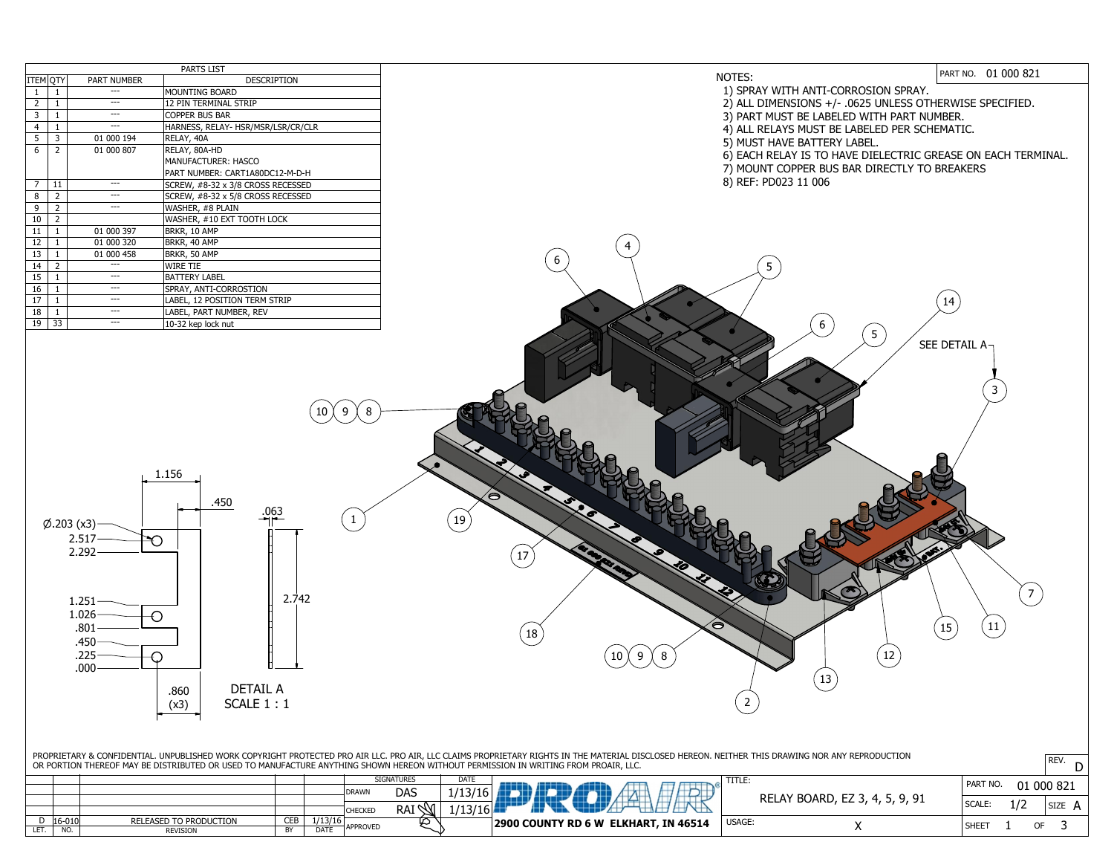| <b>PARTS LIST</b> |                |                    |                                    |  |  |  |  |  |
|-------------------|----------------|--------------------|------------------------------------|--|--|--|--|--|
| <b>ITEM QTY</b>   |                | <b>PART NUMBER</b> | <b>DESCRIPTION</b>                 |  |  |  |  |  |
| 1                 | 1              |                    | <b>MOUNTING BOARD</b>              |  |  |  |  |  |
| $\overline{2}$    | $\mathbf{1}$   |                    | 12 PIN TERMINAL STRIP              |  |  |  |  |  |
| 3                 | $\mathbf{1}$   |                    | <b>COPPER BUS BAR</b>              |  |  |  |  |  |
| $\overline{4}$    | $\mathbf{1}$   |                    | HARNESS, RELAY- HSR/MSR/LSR/CR/CLR |  |  |  |  |  |
| 5                 | 3              | 01 000 194         | RELAY, 40A                         |  |  |  |  |  |
| 6                 | $\overline{2}$ | 01 000 807         | RELAY, 80A-HD                      |  |  |  |  |  |
|                   |                |                    | <b>MANUFACTURER: HASCO</b>         |  |  |  |  |  |
|                   |                |                    | PART NUMBER: CART1A80DC12-M-D-H    |  |  |  |  |  |
| $\overline{7}$    | 11             |                    | SCREW, #8-32 x 3/8 CROSS RECESSED  |  |  |  |  |  |
| 8                 | $\overline{2}$ |                    | SCREW, #8-32 x 5/8 CROSS RECESSED  |  |  |  |  |  |
| 9                 | $\overline{2}$ |                    | WASHER, #8 PLAIN                   |  |  |  |  |  |
| 10                | $\overline{2}$ |                    | WASHER, #10 EXT TOOTH LOCK         |  |  |  |  |  |
| 11                | $\mathbf{1}$   | 01 000 397         | BRKR, 10 AMP                       |  |  |  |  |  |
| 12                | $\mathbf{1}$   | 01 000 320         | BRKR, 40 AMP                       |  |  |  |  |  |
| 13                | $\mathbf{1}$   | 01 000 458         | BRKR, 50 AMP                       |  |  |  |  |  |
| 14                | $\overline{2}$ |                    | <b>WIRE TIE</b>                    |  |  |  |  |  |
| 15                | $\mathbf{1}$   |                    | <b>BATTERY LABEL</b>               |  |  |  |  |  |
| 16                | $\mathbf{1}$   |                    | SPRAY, ANTI-CORROSTION             |  |  |  |  |  |
| 17                | $\mathbf{1}$   |                    | LABEL, 12 POSITION TERM STRIP      |  |  |  |  |  |
| 18                | $\mathbf{1}$   |                    | LABEL, PART NUMBER, REV            |  |  |  |  |  |
| 19                | 33             |                    | 10-32 kep lock nut                 |  |  |  |  |  |



| PROPRIETARY & CONFIDENTIAL. UNPUBLISHED WORK COPYRIGHT PROTECTED PRO AIR LLC. PRO AIR, LLC CLAIMS PROPRIETARY RIGHTS IN THE MATERIAL DISCLOSED HEREON<br>OR PORTION THEREOF MAY BE DISTRIBUTED OR USED TO MANUFACTURE ANYTHING SHOWN HEREON WITHOUT PERMISSION IN WRITING FROM PROAIR, LLC. |            |                               |            |             |                 |                   |             |                                      |  |  |
|---------------------------------------------------------------------------------------------------------------------------------------------------------------------------------------------------------------------------------------------------------------------------------------------|------------|-------------------------------|------------|-------------|-----------------|-------------------|-------------|--------------------------------------|--|--|
|                                                                                                                                                                                                                                                                                             |            |                               |            |             |                 | <b>SIGNATURES</b> | <b>DATE</b> |                                      |  |  |
|                                                                                                                                                                                                                                                                                             |            |                               |            |             | <b>DRAWN</b>    | <b>DAS</b>        |             |                                      |  |  |
|                                                                                                                                                                                                                                                                                             |            |                               |            |             | <b>CHECKED</b>  | <b>RAI</b>        |             |                                      |  |  |
|                                                                                                                                                                                                                                                                                             | $16 - 010$ | <b>RELEASED TO PRODUCTION</b> | <b>CEB</b> | 1/13/16     |                 | Ø                 |             | 2900 COUNTY RD 6 W ELKHART, IN 46514 |  |  |
| LET                                                                                                                                                                                                                                                                                         | NO.        | REVISION                      | BY         | <b>DATE</b> | <b>APPROVED</b> |                   |             |                                      |  |  |
|                                                                                                                                                                                                                                                                                             |            |                               |            |             |                 |                   |             |                                      |  |  |



|                       | .      |                                | PART NO.<br>01 000 821 |  |    |        |  |
|-----------------------|--------|--------------------------------|------------------------|--|----|--------|--|
|                       |        | RELAY BOARD, EZ 3, 4, 5, 9, 91 | <b>SCALE:</b>          |  |    | SIZE A |  |
| <b>HART, IN 46514</b> | USAGE: |                                | <b>SHEET</b>           |  | ΩF |        |  |

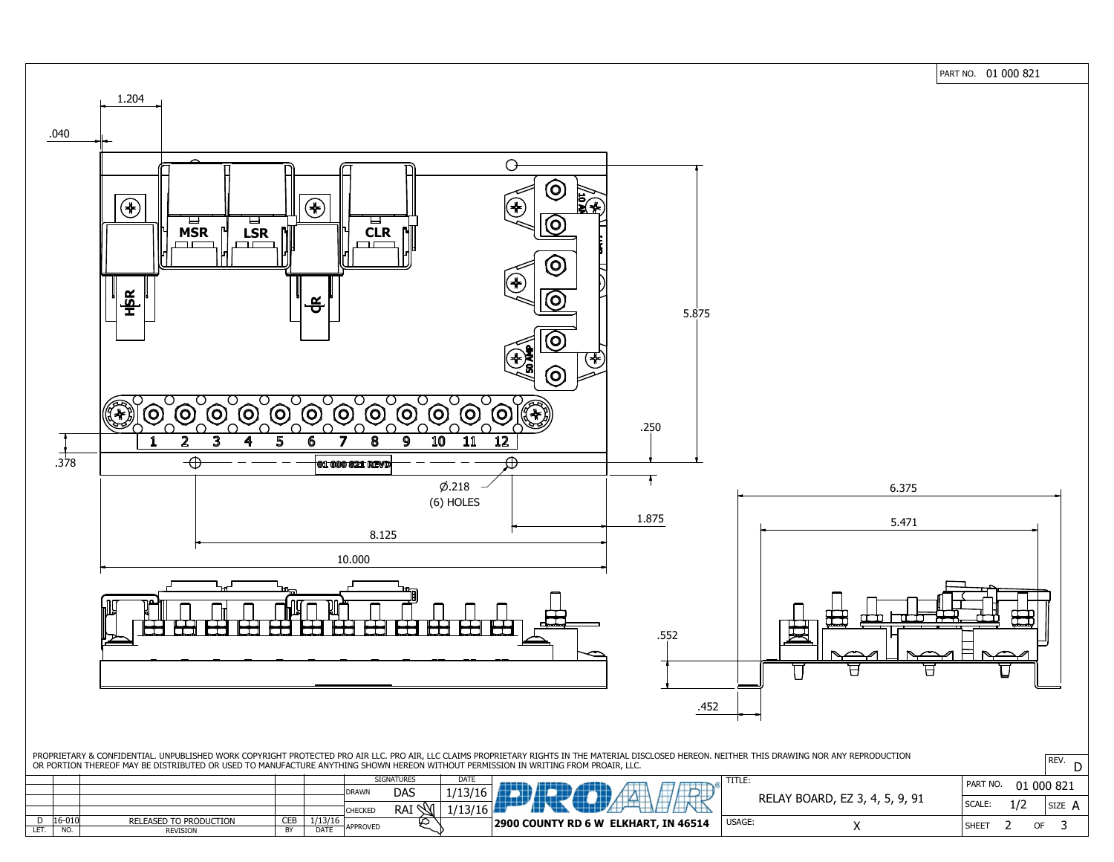

PART NO. 01 000 821